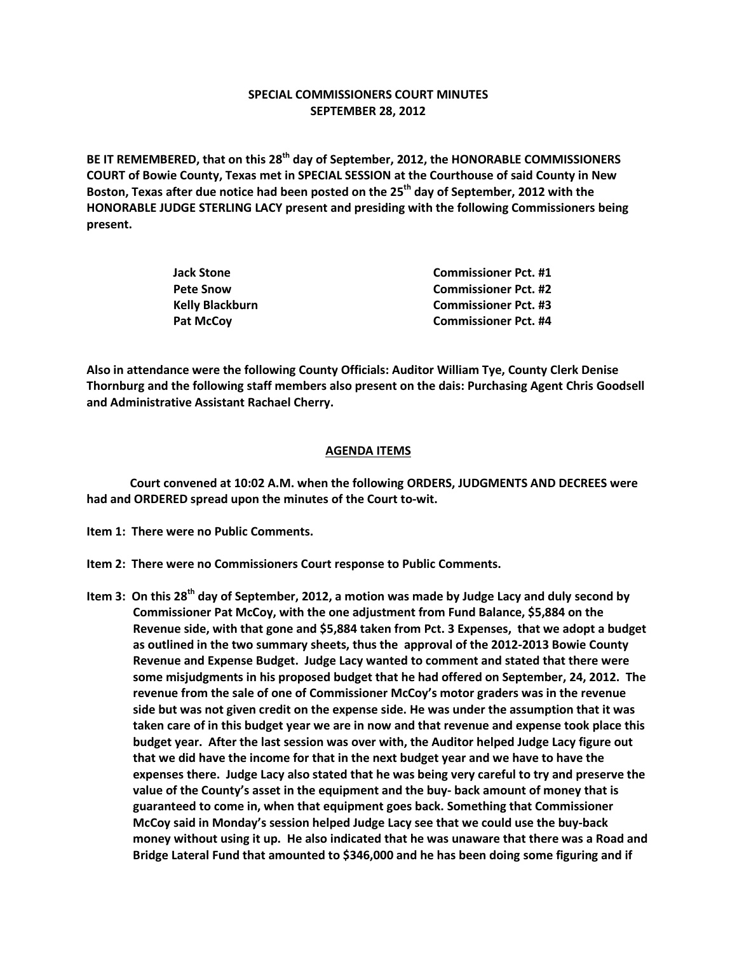## **SPECIAL COMMISSIONERS COURT MINUTES SEPTEMBER 28, 2012**

**BE IT REMEMBERED, that on this 28th day of September, 2012, the HONORABLE COMMISSIONERS COURT of Bowie County, Texas met in SPECIAL SESSION at the Courthouse of said County in New Boston, Texas after due notice had been posted on the 25th day of September, 2012 with the HONORABLE JUDGE STERLING LACY present and presiding with the following Commissioners being present.**

| Jack Stone      | <b>Commissioner Pct. #1</b> |
|-----------------|-----------------------------|
| Pete Snow       | <b>Commissioner Pct. #2</b> |
| Kelly Blackburn | <b>Commissioner Pct. #3</b> |
| Pat McCov       | <b>Commissioner Pct. #4</b> |

**Also in attendance were the following County Officials: Auditor William Tye, County Clerk Denise Thornburg and the following staff members also present on the dais: Purchasing Agent Chris Goodsell and Administrative Assistant Rachael Cherry.**

## **AGENDA ITEMS**

**Court convened at 10:02 A.M. when the following ORDERS, JUDGMENTS AND DECREES were had and ORDERED spread upon the minutes of the Court to-wit.**

- **Item 1: There were no Public Comments.**
- **Item 2: There were no Commissioners Court response to Public Comments.**
- **Item 3: On this 28th day of September, 2012, a motion was made by Judge Lacy and duly second by Commissioner Pat McCoy, with the one adjustment from Fund Balance, \$5,884 on the Revenue side, with that gone and \$5,884 taken from Pct. 3 Expenses, that we adopt a budget as outlined in the two summary sheets, thus the approval of the 2012-2013 Bowie County Revenue and Expense Budget. Judge Lacy wanted to comment and stated that there were some misjudgments in his proposed budget that he had offered on September, 24, 2012. The revenue from the sale of one of Commissioner McCoy's motor graders was in the revenue side but was not given credit on the expense side. He was under the assumption that it was taken care of in this budget year we are in now and that revenue and expense took place this budget year. After the last session was over with, the Auditor helped Judge Lacy figure out that we did have the income for that in the next budget year and we have to have the expenses there. Judge Lacy also stated that he was being very careful to try and preserve the value of the County's asset in the equipment and the buy- back amount of money that is guaranteed to come in, when that equipment goes back. Something that Commissioner McCoy said in Monday's session helped Judge Lacy see that we could use the buy-back money without using it up. He also indicated that he was unaware that there was a Road and Bridge Lateral Fund that amounted to \$346,000 and he has been doing some figuring and if**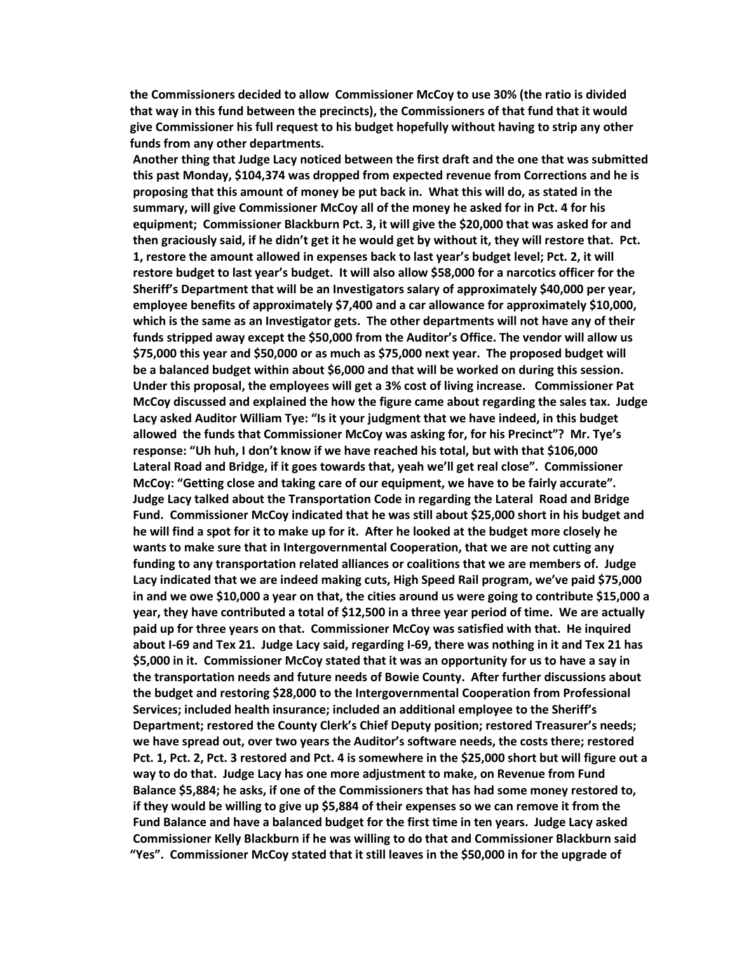**the Commissioners decided to allow Commissioner McCoy to use 30% (the ratio is divided that way in this fund between the precincts), the Commissioners of that fund that it would give Commissioner his full request to his budget hopefully without having to strip any other funds from any other departments.**

 **Another thing that Judge Lacy noticed between the first draft and the one that was submitted this past Monday, \$104,374 was dropped from expected revenue from Corrections and he is proposing that this amount of money be put back in. What this will do, as stated in the summary, will give Commissioner McCoy all of the money he asked for in Pct. 4 for his equipment; Commissioner Blackburn Pct. 3, it will give the \$20,000 that was asked for and then graciously said, if he didn't get it he would get by without it, they will restore that. Pct. 1, restore the amount allowed in expenses back to last year's budget level; Pct. 2, it will restore budget to last year's budget. It will also allow \$58,000 for a narcotics officer for the Sheriff's Department that will be an Investigators salary of approximately \$40,000 per year, employee benefits of approximately \$7,400 and a car allowance for approximately \$10,000, which is the same as an Investigator gets. The other departments will not have any of their funds stripped away except the \$50,000 from the Auditor's Office. The vendor will allow us \$75,000 this year and \$50,000 or as much as \$75,000 next year. The proposed budget will be a balanced budget within about \$6,000 and that will be worked on during this session. Under this proposal, the employees will get a 3% cost of living increase. Commissioner Pat McCoy discussed and explained the how the figure came about regarding the sales tax. Judge Lacy asked Auditor William Tye: "Is it your judgment that we have indeed, in this budget allowed the funds that Commissioner McCoy was asking for, for his Precinct"? Mr. Tye's response: "Uh huh, I don't know if we have reached his total, but with that \$106,000 Lateral Road and Bridge, if it goes towards that, yeah we'll get real close". Commissioner McCoy: "Getting close and taking care of our equipment, we have to be fairly accurate". Judge Lacy talked about the Transportation Code in regarding the Lateral Road and Bridge Fund. Commissioner McCoy indicated that he was still about \$25,000 short in his budget and he will find a spot for it to make up for it. After he looked at the budget more closely he wants to make sure that in Intergovernmental Cooperation, that we are not cutting any funding to any transportation related alliances or coalitions that we are members of. Judge Lacy indicated that we are indeed making cuts, High Speed Rail program, we've paid \$75,000 in and we owe \$10,000 a year on that, the cities around us were going to contribute \$15,000 a year, they have contributed a total of \$12,500 in a three year period of time. We are actually paid up for three years on that. Commissioner McCoy was satisfied with that. He inquired about I-69 and Tex 21. Judge Lacy said, regarding I-69, there was nothing in it and Tex 21 has \$5,000 in it. Commissioner McCoy stated that it was an opportunity for us to have a say in the transportation needs and future needs of Bowie County. After further discussions about the budget and restoring \$28,000 to the Intergovernmental Cooperation from Professional Services; included health insurance; included an additional employee to the Sheriff's Department; restored the County Clerk's Chief Deputy position; restored Treasurer's needs; we have spread out, over two years the Auditor's software needs, the costs there; restored Pct. 1, Pct. 2, Pct. 3 restored and Pct. 4 is somewhere in the \$25,000 short but will figure out a way to do that. Judge Lacy has one more adjustment to make, on Revenue from Fund Balance \$5,884; he asks, if one of the Commissioners that has had some money restored to, if they would be willing to give up \$5,884 of their expenses so we can remove it from the Fund Balance and have a balanced budget for the first time in ten years. Judge Lacy asked Commissioner Kelly Blackburn if he was willing to do that and Commissioner Blackburn said "Yes". Commissioner McCoy stated that it still leaves in the \$50,000 in for the upgrade of**